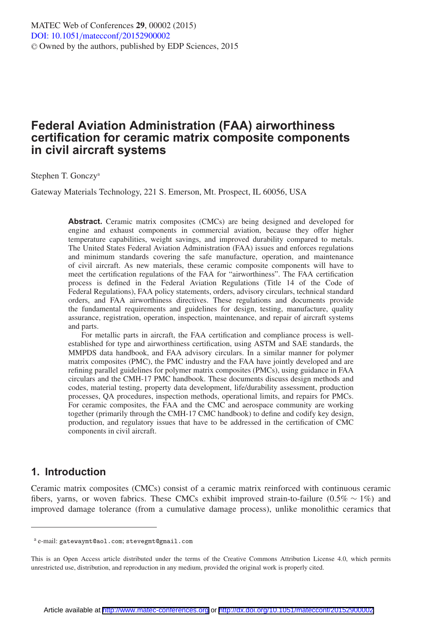## **Federal Aviation Administration (FAA) airworthiness certification for ceramic matrix composite components in civil aircraft systems**

Stephen T. Gonczya

Gateway Materials Technology, 221 S. Emerson, Mt. Prospect, IL 60056, USA

**Abstract.** Ceramic matrix composites (CMCs) are being designed and developed for engine and exhaust components in commercial aviation, because they offer higher temperature capabilities, weight savings, and improved durability compared to metals. The United States Federal Aviation Administration (FAA) issues and enforces regulations and minimum standards covering the safe manufacture, operation, and maintenance of civil aircraft. As new materials, these ceramic composite components will have to meet the certification regulations of the FAA for "airworthiness". The FAA certification process is defined in the Federal Aviation Regulations (Title 14 of the Code of Federal Regulations), FAA policy statements, orders, advisory circulars, technical standard orders, and FAA airworthiness directives. These regulations and documents provide the fundamental requirements and guidelines for design, testing, manufacture, quality assurance, registration, operation, inspection, maintenance, and repair of aircraft systems and parts.

For metallic parts in aircraft, the FAA certification and compliance process is wellestablished for type and airworthiness certification, using ASTM and SAE standards, the MMPDS data handbook, and FAA advisory circulars. In a similar manner for polymer matrix composites (PMC), the PMC industry and the FAA have jointly developed and are refining parallel guidelines for polymer matrix composites (PMCs), using guidance in FAA circulars and the CMH-17 PMC handbook. These documents discuss design methods and codes, material testing, property data development, life/durability assessment, production processes, QA procedures, inspection methods, operational limits, and repairs for PMCs. For ceramic composites, the FAA and the CMC and aerospace community are working together (primarily through the CMH-17 CMC handbook) to define and codify key design, production, and regulatory issues that have to be addressed in the certification of CMC components in civil aircraft.

#### **1. Introduction**

Ceramic matrix composites (CMCs) consist of a ceramic matrix reinforced with continuous ceramic fibers, yarns, or woven fabrics. These CMCs exhibit improved strain-to-failure  $(0.5\% \sim 1\%)$  and improved damage tolerance (from a cumulative damage process), unlike monolithic ceramics that

<sup>a</sup> e-mail: gatewaymt@aol.com; stevegmt@gmail.com

This is an Open Access article distributed under the terms of the Creative Commons Attribution License 4.0, which permits unrestricted use, distribution, and reproduction in any medium, provided the original work is properly cited.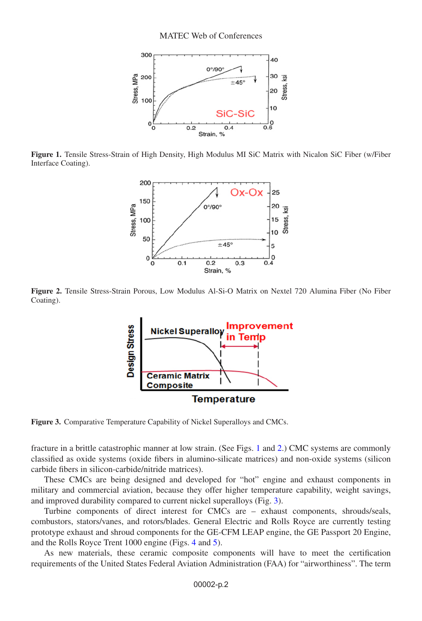

<span id="page-1-1"></span><span id="page-1-0"></span>**Figure 1.** Tensile Stress-Strain of High Density, High Modulus MI SiC Matrix with Nicalon SiC Fiber (w/Fiber Interface Coating).



<span id="page-1-2"></span>**Figure 2.** Tensile Stress-Strain Porous, Low Modulus Al-Si-O Matrix on Nextel 720 Alumina Fiber (No Fiber Coating).



**Figure 3.** Comparative Temperature Capability of Nickel Superalloys and CMCs.

fracture in a brittle catastrophic manner at low strain. (See Figs. [1](#page-1-0) and [2.](#page-1-1)) CMC systems are commonly classified as oxide systems (oxide fibers in alumino-silicate matrices) and non-oxide systems (silicon carbide fibers in silicon-carbide/nitride matrices).

These CMCs are being designed and developed for "hot" engine and exhaust components in military and commercial aviation, because they offer higher temperature capability, weight savings, and improved durability compared to current nickel superalloys (Fig. [3\)](#page-1-2).

Turbine components of direct interest for CMCs are – exhaust components, shrouds/seals, combustors, stators/vanes, and rotors/blades. General Electric and Rolls Royce are currently testing prototype exhaust and shroud components for the GE-CFM LEAP engine, the GE Passport 20 Engine, and the Rolls Royce Trent 1000 engine (Figs. [4](#page-2-0) and [5\)](#page-2-1).

As new materials, these ceramic composite components will have to meet the certification requirements of the United States Federal Aviation Administration (FAA) for "airworthiness". The term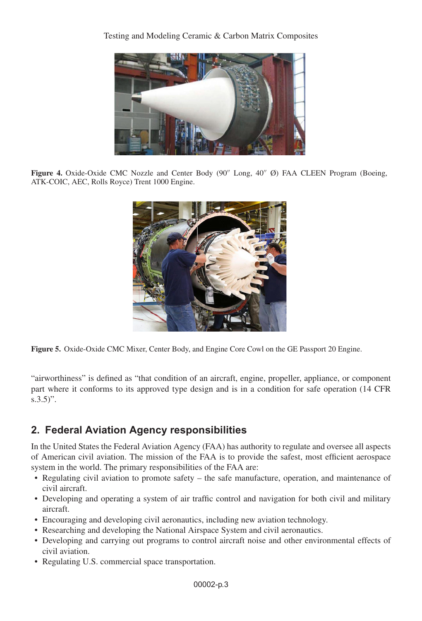Testing and Modeling Ceramic & Carbon Matrix Composites



<span id="page-2-1"></span><span id="page-2-0"></span>Figure 4. Oxide-Oxide CMC Nozzle and Center Body (90" Long, 40" Ø) FAA CLEEN Program (Boeing, ATK-COIC, AEC, Rolls Royce) Trent 1000 Engine.



**Figure 5.** Oxide-Oxide CMC Mixer, Center Body, and Engine Core Cowl on the GE Passport 20 Engine.

"airworthiness" is defined as "that condition of an aircraft, engine, propeller, appliance, or component part where it conforms to its approved type design and is in a condition for safe operation (14 CFR  $s.3.5$ ".

# **2. Federal Aviation Agency responsibilities**

In the United States the Federal Aviation Agency (FAA) has authority to regulate and oversee all aspects of American civil aviation. The mission of the FAA is to provide the safest, most efficient aerospace system in the world. The primary responsibilities of the FAA are:

- Regulating civil aviation to promote safety the safe manufacture, operation, and maintenance of civil aircraft.
- Developing and operating a system of air traffic control and navigation for both civil and military aircraft.
- Encouraging and developing civil aeronautics, including new aviation technology.
- Researching and developing the National Airspace System and civil aeronautics.
- Developing and carrying out programs to control aircraft noise and other environmental effects of civil aviation.
- Regulating U.S. commercial space transportation.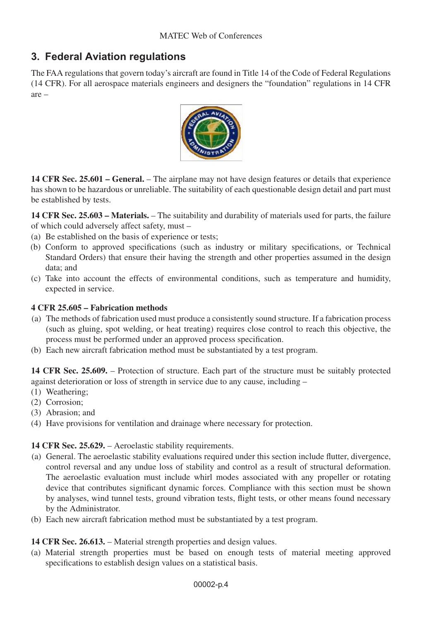### **3. Federal Aviation regulations**

The FAA regulations that govern today's aircraft are found in Title 14 of the Code of Federal Regulations (14 CFR). For all aerospace materials engineers and designers the "foundation" regulations in 14 CFR are –



**14 CFR Sec. 25.601 – General.** – The airplane may not have design features or details that experience has shown to be hazardous or unreliable. The suitability of each questionable design detail and part must be established by tests.

**14 CFR Sec. 25.603 – Materials.** – The suitability and durability of materials used for parts, the failure of which could adversely affect safety, must –

- (a) Be established on the basis of experience or tests;
- (b) Conform to approved specifications (such as industry or military specifications, or Technical Standard Orders) that ensure their having the strength and other properties assumed in the design data; and
- (c) Take into account the effects of environmental conditions, such as temperature and humidity, expected in service.

#### **4 CFR 25.605 – Fabrication methods**

- (a) The methods of fabrication used must produce a consistently sound structure. If a fabrication process (such as gluing, spot welding, or heat treating) requires close control to reach this objective, the process must be performed under an approved process specification.
- (b) Each new aircraft fabrication method must be substantiated by a test program.

**14 CFR Sec. 25.609.** – Protection of structure. Each part of the structure must be suitably protected against deterioration or loss of strength in service due to any cause, including –

- (1) Weathering;
- (2) Corrosion;
- (3) Abrasion; and
- (4) Have provisions for ventilation and drainage where necessary for protection.

#### **14 CFR Sec. 25.629.** – Aeroelastic stability requirements.

- (a) General. The aeroelastic stability evaluations required under this section include flutter, divergence, control reversal and any undue loss of stability and control as a result of structural deformation. The aeroelastic evaluation must include whirl modes associated with any propeller or rotating device that contributes significant dynamic forces. Compliance with this section must be shown by analyses, wind tunnel tests, ground vibration tests, flight tests, or other means found necessary by the Administrator.
- (b) Each new aircraft fabrication method must be substantiated by a test program.

#### **14 CFR Sec. 26.613.** – Material strength properties and design values.

(a) Material strength properties must be based on enough tests of material meeting approved specifications to establish design values on a statistical basis.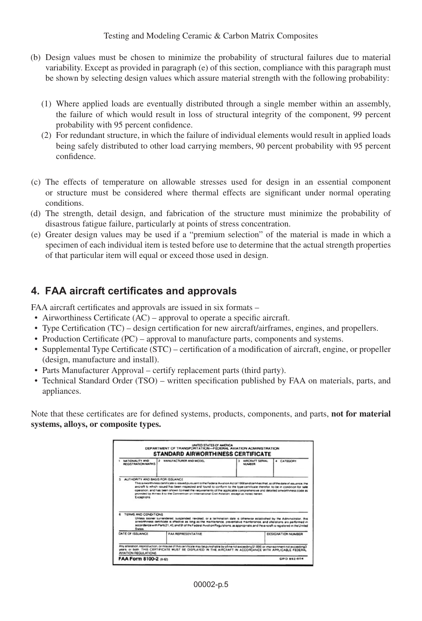Testing and Modeling Ceramic & Carbon Matrix Composites

- (b) Design values must be chosen to minimize the probability of structural failures due to material variability. Except as provided in paragraph (e) of this section, compliance with this paragraph must be shown by selecting design values which assure material strength with the following probability:
	- (1) Where applied loads are eventually distributed through a single member within an assembly, the failure of which would result in loss of structural integrity of the component, 99 percent probability with 95 percent confidence.
	- (2) For redundant structure, in which the failure of individual elements would result in applied loads being safely distributed to other load carrying members, 90 percent probability with 95 percent confidence.
- (c) The effects of temperature on allowable stresses used for design in an essential component or structure must be considered where thermal effects are significant under normal operating conditions.
- (d) The strength, detail design, and fabrication of the structure must minimize the probability of disastrous fatigue failure, particularly at points of stress concentration.
- (e) Greater design values may be used if a "premium selection" of the material is made in which a specimen of each individual item is tested before use to determine that the actual strength properties of that particular item will equal or exceed those used in design.

## **4. FAA aircraft certificates and approvals**

FAA aircraft certificates and approvals are issued in six formats –

- Airworthiness Certificate (AC) approval to operate a specific aircraft.
- Type Certification (TC) design certification for new aircraft/airframes, engines, and propellers.
- Production Certificate (PC) approval to manufacture parts, components and systems.
- Supplemental Type Certificate (STC) certification of a modification of aircraft, engine, or propeller (design, manufacture and install).
- Parts Manufacturer Approval certify replacement parts (third party).
- Technical Standard Order (TSO) written specification published by FAA on materials, parts, and appliances.

Note that these certificates are for defined systems, products, components, and parts, **not for material systems, alloys, or composite types.**

|                  | NATIONALITY AND<br><b>REGISTRATION MARKS</b>               | 2 MANUFACTURER AND MODEL                                                                                                                                                                                                                                                                                                                                                                                                                                                                                                           | <b>NUMBER</b> | <b>AIRCRAFT SERIAL</b> | 4 CATEGORY                |
|------------------|------------------------------------------------------------|------------------------------------------------------------------------------------------------------------------------------------------------------------------------------------------------------------------------------------------------------------------------------------------------------------------------------------------------------------------------------------------------------------------------------------------------------------------------------------------------------------------------------------|---------------|------------------------|---------------------------|
|                  |                                                            | 5. AUTHORITY AND BASIS FOR ISSUANCE<br>This airworthiness certificate is issued pursuant to the Federal Aviation Act of 1958 and certifies that, as of the date of issuance, the<br>avoralt to which issued has been inspected and lound to conform to the type certificate therefor, to be in condition for sale<br>operation, and has been shown to meet the requirements of the applicable comprehensive and detailed airworthness code as                                                                                      |               |                        |                           |
| DATE OF ISSUANCE | Exceptions<br><b>TERMS AND CONDITIONS</b><br><b>States</b> | provided by Annex 8 to the Convention on International Civil Aviation, except as noted herein.<br>Unless sooner surrendered, suspended, revoked, or a termination date is otherwise established by the Administrator, this<br>airworthiness certificate is effective as long as the maintenance, preventative maintenance, and alterations are performed in<br>accordance with Parts 21, 43, and 91 of the Federal Aviation Regulations, as appropriate, and the avicraft is registered in the United<br><b>FAA REPRESENTATIVE</b> |               |                        | <b>DESIGNATION NUMBER</b> |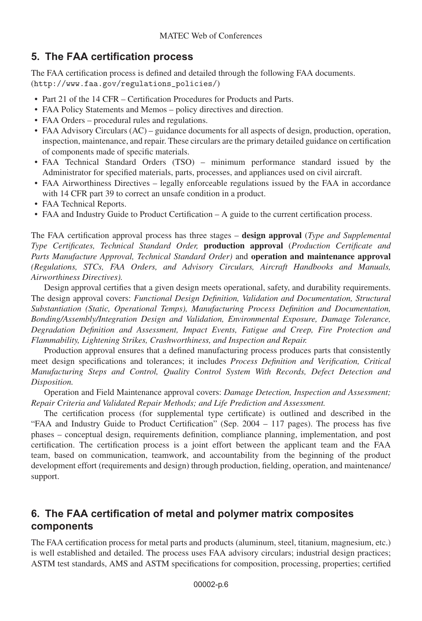## **5. The FAA certification process**

The FAA certification process is defined and detailed through the following FAA documents. (http://www.faa.gov/regulations\_policies/)

- Part 21 of the 14 CFR Certification Procedures for Products and Parts.
- FAA Policy Statements and Memos policy directives and direction.
- FAA Orders procedural rules and regulations.
- FAA Advisory Circulars (AC) guidance documents for all aspects of design, production, operation, inspection, maintenance, and repair. These circulars are the primary detailed guidance on certification of components made of specific materials.
- FAA Technical Standard Orders (TSO) minimum performance standard issued by the Administrator for specified materials, parts, processes, and appliances used on civil aircraft.
- FAA Airworthiness Directives legally enforceable regulations issued by the FAA in accordance with 14 CFR part 39 to correct an unsafe condition in a product.
- FAA Technical Reports.
- FAA and Industry Guide to Product Certification A guide to the current certification process.

The FAA certification approval process has three stages – **design approval** (*Type and Supplemental Type Certificates, Technical Standard Order,* **production approval** (*Production Certificate and Parts Manufacture Approval, Technical Standard Order)* and **operation and maintenance approval** *(Regulations, STCs, FAA Orders, and Advisory Circulars, Aircraft Handbooks and Manuals, Airworthiness Directives).*

Design approval certifies that a given design meets operational, safety, and durability requirements. The design approval covers: *Functional Design Definition, Validation and Documentation, Structural Substantiation (Static, Operational Temps), Manufacturing Process Definition and Documentation, Bonding/Assembly/Integration Design and Validation, Environmental Exposure, Damage Tolerance, Degradation Definition and Assessment, Impact Events, Fatigue and Creep, Fire Protection and Flammability, Lightening Strikes, Crashworthiness, and Inspection and Repair.*

Production approval ensures that a defined manufacturing process produces parts that consistently meet design specifications and tolerances; it includes *Process Definition and Verification, Critical Manufacturing Steps and Control, Quality Control System With Records, Defect Detection and Disposition.*

Operation and Field Maintenance approval covers: *Damage Detection, Inspection and Assessment; Repair Criteria and Validated Repair Methods; and Life Prediction and Assessment.*

The certification process (for supplemental type certificate) is outlined and described in the "FAA and Industry Guide to Product Certification" (Sep. 2004 – 117 pages). The process has five phases – conceptual design, requirements definition, compliance planning, implementation, and post certification. The certification process is a joint effort between the applicant team and the FAA team, based on communication, teamwork, and accountability from the beginning of the product development effort (requirements and design) through production, fielding, operation, and maintenance/ support.

### **6. The FAA certification of metal and polymer matrix composites components**

The FAA certification process for metal parts and products (aluminum, steel, titanium, magnesium, etc.) is well established and detailed. The process uses FAA advisory circulars; industrial design practices; ASTM test standards, AMS and ASTM specifications for composition, processing, properties; certified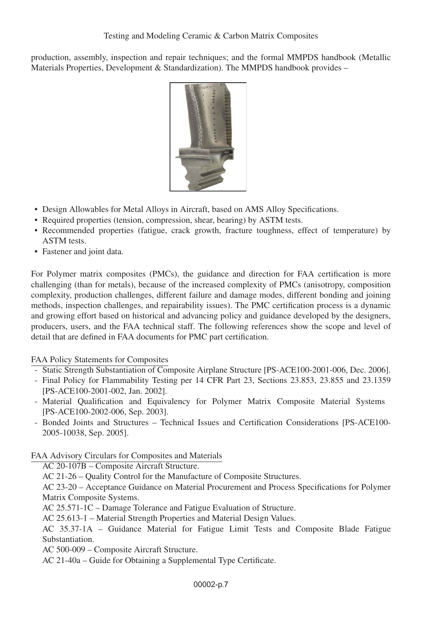production, assembly, inspection and repair techniques; and the formal MMPDS handbook (Metallic Materials Properties, Development & Standardization). The MMPDS handbook provides –



- Design Allowables for Metal Alloys in Aircraft, based on AMS Alloy Specifications.
- Required properties (tension, compression, shear, bearing) by ASTM tests.
- Recommended properties (fatigue, crack growth, fracture toughness, effect of temperature) by ASTM tests.
- Fastener and joint data.

For Polymer matrix composites (PMCs), the guidance and direction for FAA certification is more challenging (than for metals), because of the increased complexity of PMCs (anisotropy, composition complexity, production challenges, different failure and damage modes, different bonding and joining methods, inspection challenges, and repairability issues). The PMC certification process is a dynamic and growing effort based on historical and advancing policy and guidance developed by the designers, producers, users, and the FAA technical staff. The following references show the scope and level of detail that are defined in FAA documents for PMC part certification.

#### FAA Policy Statements for Composites

- Static Strength Substantiation of Composite Airplane Structure [PS-ACE100-2001-006, Dec. 2006].
- Final Policy for Flammability Testing per 14 CFR Part 23, Sections 23.853, 23.855 and 23.1359 [PS-ACE100-2001-002, Jan. 2002].
- Material Qualification and Equivalency for Polymer Matrix Composite Material Systems [PS-ACE100-2002-006, Sep. 2003].
- Bonded Joints and Structures Technical Issues and Certification Considerations [PS-ACE100- 2005-10038, Sep. 2005].

#### FAA Advisory Circulars for Composites and Materials

AC 20-107B – Composite Aircraft Structure.

AC 21-26 – Quality Control for the Manufacture of Composite Structures.

AC 23-20 – Acceptance Guidance on Material Procurement and Process Specifications for Polymer Matrix Composite Systems.

AC 25.571-1C – Damage Tolerance and Fatigue Evaluation of Structure.

AC 25.613-1 – Material Strength Properties and Material Design Values.

AC 35.37-1A – Guidance Material for Fatigue Limit Tests and Composite Blade Fatigue Substantiation.

AC 500-009 – Composite Aircraft Structure.

AC 21-40a – Guide for Obtaining a Supplemental Type Certificate.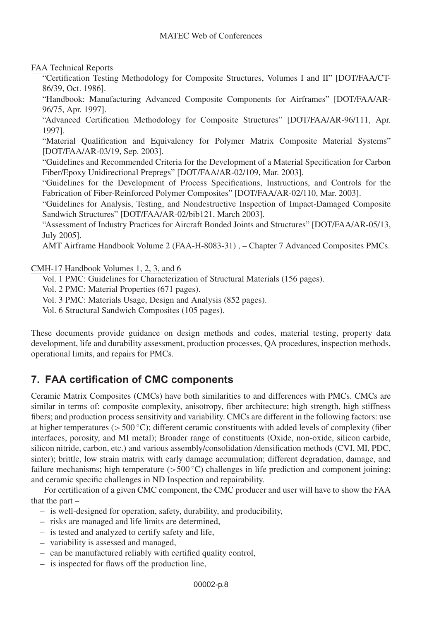FAA Technical Reports

"Certification Testing Methodology for Composite Structures, Volumes I and II" [DOT/FAA/CT-86/39, Oct. 1986].

"Handbook: Manufacturing Advanced Composite Components for Airframes" [DOT/FAA/AR-96/75, Apr. 1997].

"Advanced Certification Methodology for Composite Structures" [DOT/FAA/AR-96/111, Apr. 1997].

"Material Qualification and Equivalency for Polymer Matrix Composite Material Systems" [DOT/FAA/AR-03/19, Sep. 2003].

"Guidelines and Recommended Criteria for the Development of a Material Specification for Carbon Fiber/Epoxy Unidirectional Prepregs" [DOT/FAA/AR-02/109, Mar. 2003].

"Guidelines for the Development of Process Specifications, Instructions, and Controls for the Fabrication of Fiber-Reinforced Polymer Composites" [DOT/FAA/AR-02/110, Mar. 2003].

"Guidelines for Analysis, Testing, and Nondestructive Inspection of Impact-Damaged Composite Sandwich Structures" [DOT/FAA/AR-02/bib121, March 2003].

"Assessment of Industry Practices for Aircraft Bonded Joints and Structures" [DOT/FAA/AR-05/13, July 2005].

AMT Airframe Handbook Volume 2 (FAA-H-8083-31) , – Chapter 7 Advanced Composites PMCs.

CMH-17 Handbook Volumes 1, 2, 3, and 6

Vol. 1 PMC: Guidelines for Characterization of Structural Materials (156 pages).

Vol. 2 PMC: Material Properties (671 pages).

Vol. 3 PMC: Materials Usage, Design and Analysis (852 pages).

Vol. 6 Structural Sandwich Composites (105 pages).

These documents provide guidance on design methods and codes, material testing, property data development, life and durability assessment, production processes, QA procedures, inspection methods, operational limits, and repairs for PMCs.

#### **7. FAA certification of CMC components**

Ceramic Matrix Composites (CMCs) have both similarities to and differences with PMCs. CMCs are similar in terms of: composite complexity, anisotropy, fiber architecture; high strength, high stiffness fibers; and production process sensitivity and variability. CMCs are different in the following factors: use at higher temperatures ( $>500 °C$ ); different ceramic constituents with added levels of complexity (fiber interfaces, porosity, and MI metal); Broader range of constituents (Oxide, non-oxide, silicon carbide, silicon nitride, carbon, etc.) and various assembly/consolidation /densification methods (CVI, MI, PDC, sinter); brittle, low strain matrix with early damage accumulation; different degradation, damage, and failure mechanisms; high temperature ( $>500\degree C$ ) challenges in life prediction and component joining; and ceramic specific challenges in ND Inspection and repairability.

For certification of a given CMC component, the CMC producer and user will have to show the FAA that the part –

- is well-designed for operation, safety, durability, and producibility,
- risks are managed and life limits are determined,
- is tested and analyzed to certify safety and life,
- variability is assessed and managed,
- can be manufactured reliably with certified quality control,
- is inspected for flaws off the production line,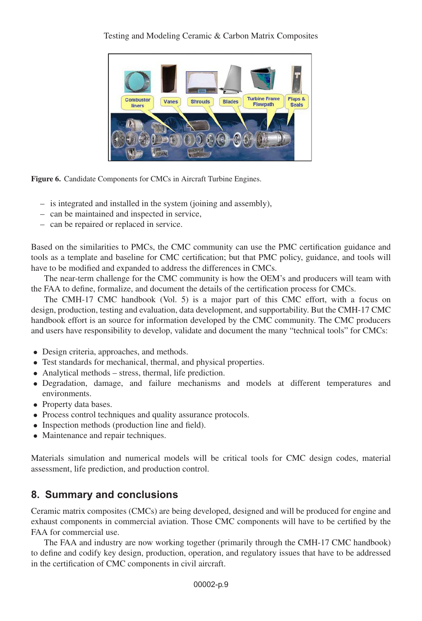

**Figure 6.** Candidate Components for CMCs in Aircraft Turbine Engines.

- is integrated and installed in the system (joining and assembly),
- can be maintained and inspected in service,
- can be repaired or replaced in service.

Based on the similarities to PMCs, the CMC community can use the PMC certification guidance and tools as a template and baseline for CMC certification; but that PMC policy, guidance, and tools will have to be modified and expanded to address the differences in CMCs.

The near-term challenge for the CMC community is how the OEM's and producers will team with the FAA to define, formalize, and document the details of the certification process for CMCs.

The CMH-17 CMC handbook (Vol. 5) is a major part of this CMC effort, with a focus on design, production, testing and evaluation, data development, and supportability. But the CMH-17 CMC handbook effort is an source for information developed by the CMC community. The CMC producers and users have responsibility to develop, validate and document the many "technical tools" for CMCs:

- Design criteria, approaches, and methods.
- Test standards for mechanical, thermal, and physical properties.
- Analytical methods stress, thermal, life prediction.
- Degradation, damage, and failure mechanisms and models at different temperatures and environments.
- Property data bases.
- Process control techniques and quality assurance protocols.
- Inspection methods (production line and field).
- Maintenance and repair techniques.

Materials simulation and numerical models will be critical tools for CMC design codes, material assessment, life prediction, and production control.

# **8. Summary and conclusions**

Ceramic matrix composites (CMCs) are being developed, designed and will be produced for engine and exhaust components in commercial aviation. Those CMC components will have to be certified by the FAA for commercial use.

The FAA and industry are now working together (primarily through the CMH-17 CMC handbook) to define and codify key design, production, operation, and regulatory issues that have to be addressed in the certification of CMC components in civil aircraft.